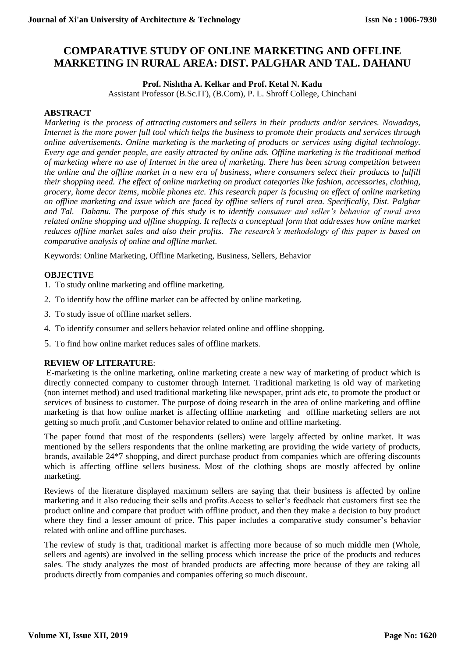# **COMPARATIVE STUDY OF ONLINE MARKETING AND OFFLINE MARKETING IN RURAL AREA: DIST. PALGHAR AND TAL. DAHANU**

**Prof. Nishtha A. Kelkar and Prof. Ketal N. Kadu**

Assistant Professor (B.Sc.IT), (B.Com), P. L. Shroff College, Chinchani

# **ABSTRACT**

*Marketing is the process of attracting [customers](https://www.thebalancesmb.com/rules-for-good-customer-service-2948079) and sellers in their products and/or services. Nowadays, Internet is the more power full tool which helps the business to promote their products and services through online advertisements. Online marketing is the [marketing](https://en.wikipedia.org/wiki/Marketing) of products or services using digital technology. Every age and gender people, are easily attracted by online ads. Offline marketing is the traditional method of marketing where no use of Internet in the area of marketing. There has been strong competition between the online and the offline market in a new era of business, where consumers select their products to fulfill their shopping need. The effect of online marketing on product categories like fashion, accessories, clothing, grocery, home decor items, mobile phones etc. This research paper is focusing on effect of online marketing on offline marketing and issue which are faced by offline sellers of rural area. Specifically, Dist. Palghar and Tal. Dahanu. The purpose of this study is to identify consumer and seller's behavior of rural area related online shopping and offline shopping. It reflects a conceptual form that addresses how online market reduces offline market sales and also their profits. The research's methodology of this paper is based on comparative analysis of online and offline market.*

Keywords: Online Marketing, Offline Marketing, Business, Sellers, Behavior

# **OBJECTIVE**

- 1. To study online marketing and offline marketing.
- 2. To identify how the offline market can be affected by online marketing.
- 3. To study issue of offline market sellers.
- 4. To identify consumer and sellers behavior related online and offline shopping.
- 5. To find how online market reduces sales of offline markets.

# **REVIEW OF LITERATURE**:

E-marketing is the online marketing, online marketing create a new way of marketing of product which is directly connected company to customer through Internet. Traditional marketing is old way of marketing (non internet method) and used traditional marketing like newspaper, print ads etc, to promote the product or services of business to customer. The purpose of doing research in the area of online marketing and offline marketing is that how online market is affecting offline marketing and offline marketing sellers are not getting so much profit ,and Customer behavior related to online and offline marketing.

The paper found that most of the respondents (sellers) were largely affected by online market. It was mentioned by the sellers respondents that the online marketing are providing the wide variety of products, brands, available 24\*7 shopping, and direct purchase product from companies which are offering discounts which is affecting offline sellers business. Most of the clothing shops are mostly affected by online marketing.

Reviews of the literature displayed maximum sellers are saying that their business is affected by online marketing and it also reducing their sells and profits.Access to seller's feedback that customers first see the product online and compare that product with offline product, and then they make a decision to buy product where they find a lesser amount of price. This paper includes a comparative study consumer's behavior related with online and offline purchases.

The review of study is that, traditional market is affecting more because of so much middle men (Whole, sellers and agents) are involved in the selling process which increase the price of the products and reduces sales. The study analyzes the most of branded products are affecting more because of they are taking all products directly from companies and companies offering so much discount.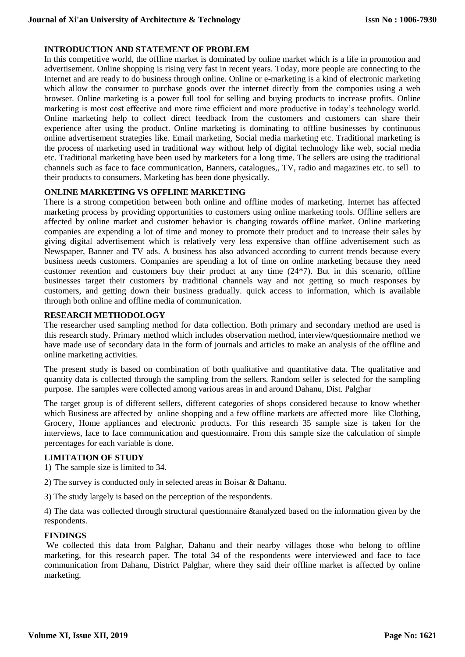# **INTRODUCTION AND STATEMENT OF PROBLEM**

In this competitive world, the offline market is dominated by online market which is a life in promotion and advertisement. Online shopping is rising very fast in recent years. Today, more people are connecting to the Internet and are ready to do business through online. Online or e-marketing is a kind of electronic marketing which allow the consumer to purchase goods over the internet directly from the componies using a web browser. Online marketing is a power full tool for selling and buying products to increase profits. Online marketing is most cost effective and more time efficient and more productive in today's technology world. Online marketing help to collect direct feedback from the customers and customers can share their experience after using the product. Online marketing is dominating to offline businesses by continuous online advertisement strategies like. Email marketing, Social media marketing etc. Traditional marketing is the process of marketing used in traditional way without help of digital technology like web, social media etc. Traditional marketing have been used by marketers for a long time. The sellers are using the traditional channels such as face to face communication, Banners, catalogues,, TV, radio and magazines etc. to sell to their products to consumers. Marketing has been done physically.

# **ONLINE MARKETING VS OFFLINE MARKETING**

There is a strong competition between both online and offline modes of marketing. Internet has affected marketing process by providing opportunities to customers using online marketing tools. Offline sellers are affected by online market and customer behavior is changing towards offline market. Online marketing companies are expending a lot of time and money to promote their product and to increase their sales by giving digital advertisement which is relatively very less expensive than offline advertisement such as Newspaper, Banner and TV ads. A business has also advanced according to current trends because every business needs customers. Companies are spending a lot of time on online marketing because they need customer retention and customers buy their product at any time  $(24*)$ . But in this scenario, offline businesses target their customers by traditional channels way and not getting so much responses by customers, and getting down their business gradually. quick access to information, which is available through both online and offline media of communication.

# **RESEARCH METHODOLOGY**

The researcher used sampling method for data collection. Both primary and secondary method are used is this research study. Primary method which includes observation method, interview/questionnaire method we have made use of secondary data in the form of journals and articles to make an analysis of the offline and online marketing activities.

The present study is based on combination of both qualitative and quantitative data. The qualitative and quantity data is collected through the sampling from the sellers. Random seller is selected for the sampling purpose. The samples were collected among various areas in and around Dahanu, Dist. Palghar

The target group is of different sellers, different categories of shops considered because to know whether which Business are affected by online shopping and a few offline markets are affected more like Clothing, Grocery, Home appliances and electronic products. For this research 35 sample size is taken for the interviews, face to face communication and questionnaire. From this sample size the calculation of simple percentages for each variable is done.

#### **LIMITATION OF STUDY**

1) The sample size is limited to 34.

- 2) The survey is conducted only in selected areas in Boisar & Dahanu.
- 3) The study largely is based on the perception of the respondents.

4) The data was collected through structural questionnaire &analyzed based on the information given by the respondents.

#### **FINDINGS**

We collected this data from Palghar, Dahanu and their nearby villages those who belong to offline marketing, for this research paper. The total 34 of the respondents were interviewed and face to face communication from Dahanu, District Palghar, where they said their offline market is affected by online marketing.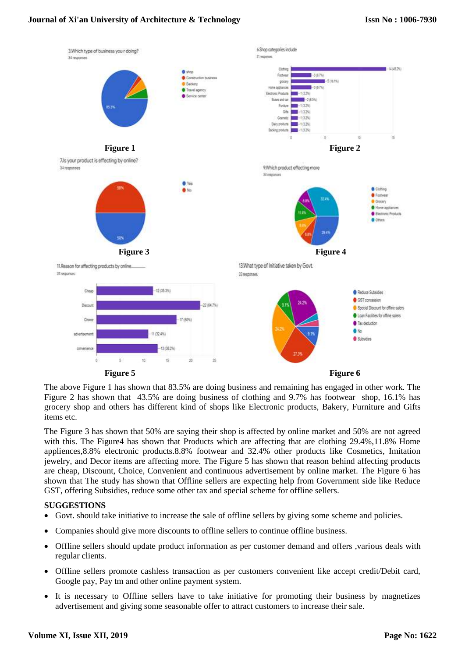# **Journal of Xi'an University of Architecture & Technology**



The above Figure 1 has shown that 83.5% are doing business and remaining has engaged in other work. The Figure 2 has shown that 43.5% are doing business of clothing and 9.7% has footwear shop, 16.1% has grocery shop and others has different kind of shops like Electronic products, Bakery, Furniture and Gifts items etc.

The Figure 3 has shown that 50% are saying their shop is affected by online market and 50% are not agreed with this. The Figure4 has shown that Products which are affecting that are clothing 29.4%,11.8% Home appliences,8.8% electronic products.8.8% footwear and 32.4% other products like Cosmetics, Imitation jewelry, and Decor items are affecting more. The Figure 5 has shown that reason behind affecting products are cheap, Discount, Choice, Convenient and continuous advertisement by online market. The Figure 6 has shown that The study has shown that Offline sellers are expecting help from Government side like Reduce GST, offering Subsidies, reduce some other tax and special scheme for offline sellers.

#### **SUGGESTIONS**

- Govt. should take initiative to increase the sale of offline sellers by giving some scheme and policies.
- Companies should give more discounts to offline sellers to continue offline business.
- Offline sellers should update product information as per customer demand and offers ,various deals with regular clients.
- Offline sellers promote cashless transaction as per customers convenient like accept credit/Debit card, Google pay, Pay tm and other online payment system.
- It is necessary to Offline sellers have to take initiative for promoting their business by magnetizes advertisement and giving some seasonable offer to attract customers to increase their sale.